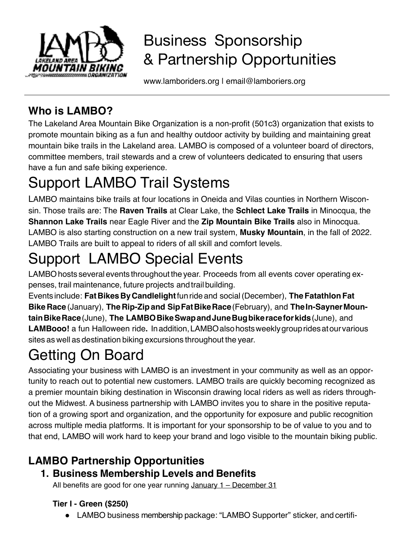

## Business Sponsorship & Partnership Opportunities

www.lamboriders.org I email@lamboriers.org

### **Who is LAMBO?**

The Lakeland Area Mountain Bike Organization is a non-profit (501c3) organization that exists to promote mountain biking as a fun and healthy outdoor activity by building and maintaining great mountain bike trails in the Lakeland area. LAMBO is composed of a volunteer board of directors, committee members, trail stewards and a crew of volunteers dedicated to ensuring that users have a fun and safe biking experience.

# Support LAMBO Trail Systems

LAMBO maintains bike trails at four locations in Oneida and Vilas counties in Northern Wisconsin. Those trails are: The **Raven Trails** at Clear Lake, the **Schlect Lake Trails** in Minocqua, the **Shannon Lake Trails** near Eagle River and the **Zip Mountain Bike Trails** also in Minocqua. LAMBO is also starting construction on a new trail system, **Musky Mountain**, in the fall of 2022. LAMBO Trails are built to appeal to riders of all skill and comfort levels.

# Support LAMBO Special Events

LAMBO hosts several events throughout the year. Proceeds from all events cover operating expenses, trail maintenance, future projects andtrailbuilding.

Events include: **FatBikesByCandlelight**funrideand social(December), **TheFatathlonFat Bike Race** (January), **The Rip-Zipand SipFatBikeRace**(February), and **TheIn-SaynerMountainBikeRace**(June), **The LAMBOBikeSwapandJuneBugbikeraceforkids**(June), and **LAMBooo!** a fun Halloween ride**.** Inaddition,LAMBOalsohostsweeklygroupridesatourvarious sites as well as destination biking excursions throughout the year.

# Getting On Board

Associating your business with LAMBO is an investment in your community as well as an opportunity to reach out to potential new customers. LAMBO trails are quickly becoming recognized as a premier mountain biking destination in Wisconsin drawing local riders as well as riders throughout the Midwest. A business partnership with LAMBO invites you to share in the positive reputation of a growing sport and organization, and the opportunity for exposure and public recognition across multiple media platforms. It is important for your sponsorship to be of value to you and to that end, LAMBO will work hard to keep your brand and logo visible to the mountain biking public.

## **LAMBO Partnership Opportunities**

### **1. Business Membership Levels and Benefits**

All benefits are good for one year running  $January 1 - December 31$ 

#### **Tier I - Green (\$250)**

• LAMBO business membership package: "LAMBO Supporter" sticker, and certifi-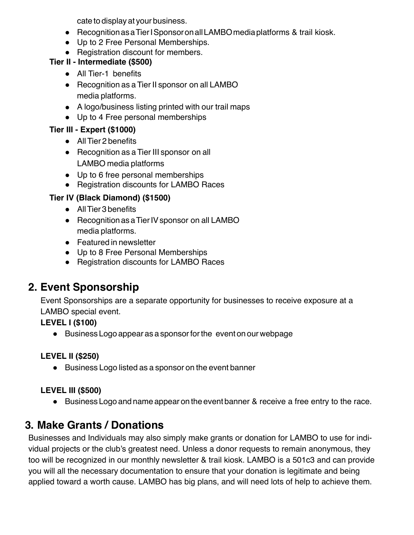cate to display at your business.

- Recognition as a Tier I Sponsor on all LAMBO media platforms & trail kiosk.
- Up to 2 Free Personal Memberships.
- Registration discount for members.

#### **Tier II - Intermediate (\$500)**

- All Tier-1 benefits
- Recognition as a Tier II sponsor on all LAMBO media platforms.
- A logo/business listing printed with our trail maps
- Up to 4 Free personal memberships

#### **Tier III - Expert (\$1000)**

- AllTier 2 benefits
- Recognition as a Tier III sponsor on all LAMBO media platforms
- Up to 6 free personal memberships
- Registration discounts for LAMBO Races

#### **Tier IV (Black Diamond) (\$1500)**

- All Tier 3 benefits
- Recognition as a Tier IV sponsor on all LAMBO media platforms.
- Featured in newsletter
- Up to 8 Free Personal Memberships
- Registration discounts for LAMBO Races

### **2. Event Sponsorship**

Event Sponsorships are a separate opportunity for businesses to receive exposure at a LAMBO special event.

#### **LEVEL I (\$100)**

● Business Logo appear as a sponsorforthe event on our webpage

#### **LEVEL II (\$250)**

● Business Logo listed as a sponsor on the event banner

#### **LEVEL III (\$500)**

● Business Logo and name appear on the event banner & receive a free entry to the race.

### **3. Make Grants / Donations**

Businesses and Individuals may also simply make grants or donation for LAMBO to use for individual projects or the club's greatest need. Unless a donor requests to remain anonymous, they too will be recognized in our monthly newsletter & trail kiosk. LAMBO is a 501c3 and can provide you will all the necessary documentation to ensure that your donation is legitimate and being applied toward a worth cause. LAMBO has big plans, and will need lots of help to achieve them.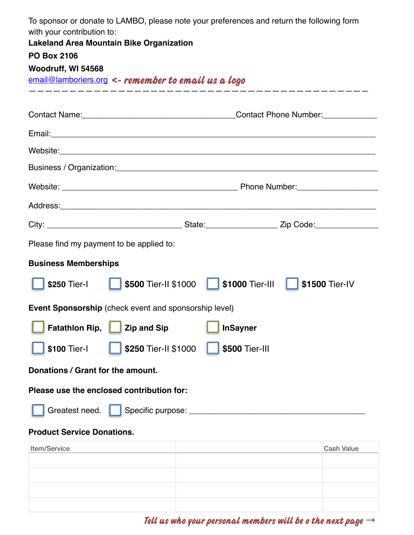| To sponsor or donate to LAMBO, please note your preferences and return the following form<br>with your contribution to: |                                           |                   |
|-------------------------------------------------------------------------------------------------------------------------|-------------------------------------------|-------------------|
| <b>Lakeland Area Mountain Bike Organization</b>                                                                         |                                           |                   |
| <b>PO Box 2106</b>                                                                                                      |                                           |                   |
| Woodruff, WI 54568<br>$email@lambories.org$ <- remember to email us a logo                                              |                                           |                   |
|                                                                                                                         |                                           |                   |
|                                                                                                                         | Contact Name: Contact Phone Number:       |                   |
|                                                                                                                         |                                           |                   |
|                                                                                                                         |                                           |                   |
|                                                                                                                         |                                           |                   |
|                                                                                                                         |                                           |                   |
|                                                                                                                         |                                           |                   |
|                                                                                                                         |                                           |                   |
| Please find my payment to be applied to:                                                                                |                                           |                   |
| <b>Business Memberships</b>                                                                                             |                                           |                   |
| \$250 Tier-I                                                                                                            | <b>S500 Tier-II \$1000 S1000 Tier-III</b> | \$1500 Tier-IV    |
| <b>Event Sponsorship</b> (check event and sponsorship level)                                                            |                                           |                   |
| <b>Fatathlon Rip,</b><br><b>Zip and Sip</b><br><b>InSayner</b>                                                          |                                           |                   |
| \$100 Tier-I<br>\$250 Tier-II \$1000<br>\$500 Tier-III                                                                  |                                           |                   |
| Donations / Grant for the amount.                                                                                       |                                           |                   |
| Please use the enclosed contribution for:                                                                               |                                           |                   |
| Greatest need.<br>Specific purpose: ____                                                                                |                                           |                   |
| <b>Product Service Donations.</b>                                                                                       |                                           |                   |
| Item/Service                                                                                                            |                                           | <b>Cash Value</b> |
|                                                                                                                         |                                           |                   |
|                                                                                                                         |                                           |                   |
|                                                                                                                         |                                           |                   |

**Tell us who your personal members will be o the next page** →